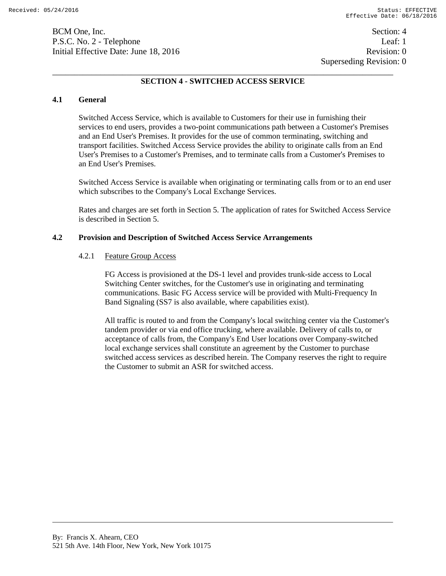BCM One, Inc. Section: 4 P.S.C. No. 2 - Telephone Leaf: 1 Initial Effective Date: June 18, 2016 **Revision: 0** Revision: 0

# **SECTION 4 - SWITCHED ACCESS SERVICE**

## **4.1 General**

Switched Access Service, which is available to Customers for their use in furnishing their services to end users, provides a two-point communications path between a Customer's Premises and an End User's Premises. It provides for the use of common terminating, switching and transport facilities. Switched Access Service provides the ability to originate calls from an End User's Premises to a Customer's Premises, and to terminate calls from a Customer's Premises to an End User's Premises.

Switched Access Service is available when originating or terminating calls from or to an end user which subscribes to the Company's Local Exchange Services.

Rates and charges are set forth in Section 5. The application of rates for Switched Access Service is described in Section 5.

### **4.2 Provision and Description of Switched Access Service Arrangements**

## 4.2.1 Feature Group Access

FG Access is provisioned at the DS-1 level and provides trunk-side access to Local Switching Center switches, for the Customer's use in originating and terminating communications. Basic FG Access service will be provided with Multi-Frequency In Band Signaling (SS7 is also available, where capabilities exist).

All traffic is routed to and from the Company's local switching center via the Customer's tandem provider or via end office trucking, where available. Delivery of calls to, or acceptance of calls from, the Company's End User locations over Company-switched local exchange services shall constitute an agreement by the Customer to purchase switched access services as described herein. The Company reserves the right to require the Customer to submit an ASR for switched access.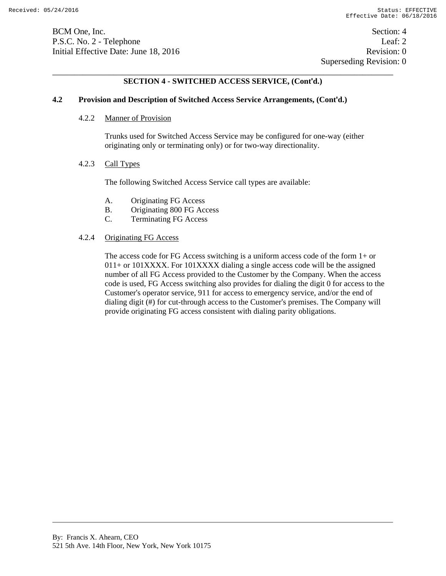BCM One, Inc. Section: 4 P.S.C. No. 2 - Telephone Leaf: 2 Initial Effective Date: June 18, 2016 **Revision: 0** Revision: 0

# **SECTION 4 - SWITCHED ACCESS SERVICE, (Cont'd.)**

## **4.2 Provision and Description of Switched Access Service Arrangements, (Cont'd.)**

#### 4.2.2 Manner of Provision

Trunks used for Switched Access Service may be configured for one-way (either originating only or terminating only) or for two-way directionality.

## 4.2.3 Call Types

The following Switched Access Service call types are available:

- A. Originating FG Access
- B. Originating 800 FG Access
- C. Terminating FG Access

## 4.2.4 Originating FG Access

The access code for FG Access switching is a uniform access code of the form 1+ or 011+ or 101XXXX. For 101XXXX dialing a single access code will be the assigned number of all FG Access provided to the Customer by the Company. When the access code is used, FG Access switching also provides for dialing the digit 0 for access to the Customer's operator service, 911 for access to emergency service, and/or the end of dialing digit (#) for cut-through access to the Customer's premises. The Company will provide originating FG access consistent with dialing parity obligations.